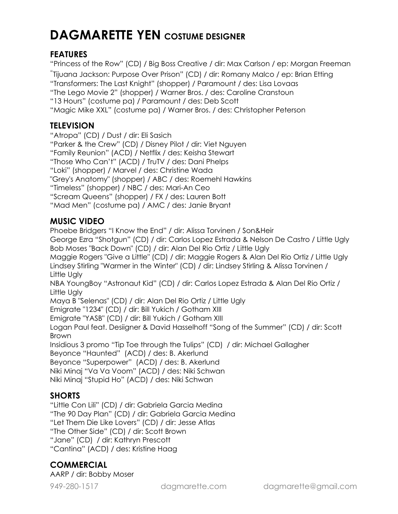# **DAGMARETTE YEN COSTUME DESIGNER**

### **FEATURES**

"Princess of the Row" (CD) / Big Boss Creative / dir: Max Carlson / ep: Morgan Freeman

"Tijuana Jackson: Purpose Over Prison" (CD) / dir: Romany Malco / ep: Brian Etting

"Transformers: The Last Knight" (shopper) / Paramount / des: Lisa Lovaas

"The Lego Movie 2" (shopper) / Warner Bros. / des: Caroline Cranstoun

"13 Hours" (costume pa) / Paramount / des: Deb Scott

"Magic Mike XXL" (costume pa) / Warner Bros. / des: Christopher Peterson

### **TELEVISION**

"Atropa" (CD) / Dust / dir: Eli Sasich "Parker & the Crew" (CD) / Disney Pilot / dir: Viet Nguyen "Family Reunion" (ACD) / Netflix / des: Keisha Stewart "Those Who Can't" (ACD) / TruTV / des: Dani Phelps "Loki" (shopper) / Marvel / des: Christine Wada "Grey's Anatomy" (shopper) / ABC / des: Roemehl Hawkins "Timeless" (shopper) / NBC / des: Mari-An Ceo "Scream Queens" (shopper) / FX / des: Lauren Bott "Mad Men" (costume pa) / AMC / des: Janie Bryant

### **MUSIC VIDEO**

Phoebe Bridgers "I Know the End" / dir: Alissa Torvinen / Son&Heir George Ezra "Shotgun" (CD) / dir: Carlos Lopez Estrada & Nelson De Castro / Little Ugly Bob Moses "Back Down" (CD) / dir: Alan Del Rio Ortiz / Little Ugly Maggie Rogers "Give a Little" (CD) / dir: Maggie Rogers & Alan Del Rio Ortiz / Little Ugly Lindsey Stirling "Warmer in the Winter" (CD) / dir: Lindsey Stirling & Alissa Torvinen / Little Ugly NBA YoungBoy "Astronaut Kid" (CD) / dir: Carlos Lopez Estrada & Alan Del Rio Ortiz / Little Ugly Maya B "Selenas" (CD) / dir: Alan Del Rio Ortiz / Little Ugly Emigrate "1234" (CD) / dir: Bill Yukich / Gotham XIII Emigrate "YASB" (CD) / dir: Bill Yukich / Gotham XIII Logan Paul feat. Desiigner & David Hasselhoff "Song of the Summer" (CD) / dir: Scott Brown Insidious 3 promo "Tip Toe through the Tulips" (CD) / dir: Michael Gallagher Beyonce "Haunted" (ACD) / des: B. Akerlund Beyonce "Superpower" (ACD) / des: B. Akerlund Niki Minaj "Va Va Voom" (ACD) / des: Niki Schwan Niki Minaj "Stupid Ho" (ACD) / des: Niki Schwan

### **SHORTS**

"Little Con Lili" (CD) / dir: Gabriela Garcia Medina "The 90 Day Plan" (CD) / dir: Gabriela Garcia Medina "Let Them Die Like Lovers" (CD) / dir: Jesse Atlas "The Other Side" (CD) / dir: Scott Brown "Jane" (CD) / dir: Kathryn Prescott "Cantina" (ACD) / des: Kristine Haag

## **COMMERCIAL**

AARP / dir: Bobby Moser